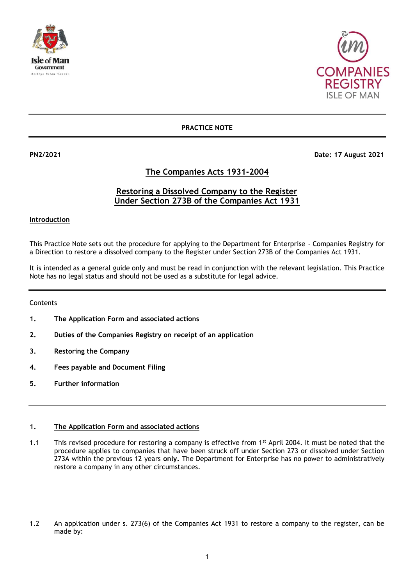



### **PRACTICE NOTE**

**PN2/2021 Date: 17 August 2021** 

## **The Companies Acts 1931-2004**

# **Restoring a Dissolved Company to the Register Under Section 273B of the Companies Act 1931**

**Introduction**

This Practice Note sets out the procedure for applying to the Department for Enterprise - Companies Registry for a Direction to restore a dissolved company to the Register under Section 273B of the Companies Act 1931.

It is intended as a general guide only and must be read in conjunction with the relevant legislation. This Practice Note has no legal status and should not be used as a substitute for legal advice.

Contents

- **1. The Application Form and associated actions**
- **2. Duties of the Companies Registry on receipt of an application**
- **3. Restoring the Company**
- **4. Fees payable and Document Filing**
- **5. Further information**

#### **1. The Application Form and associated actions**

- 1.1 This revised procedure for restoring a company is effective from 1<sup>st</sup> April 2004. It must be noted that the procedure applies to companies that have been struck off under Section 273 or dissolved under Section 273A within the previous 12 years **only.** The Department for Enterprise has no power to administratively restore a company in any other circumstances.
- 1.2 An application under s. 273(6) of the Companies Act 1931 to restore a company to the register, can be made by: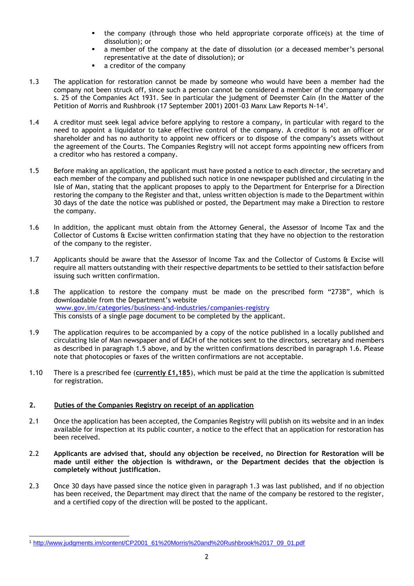- the company (through those who held appropriate corporate office(s) at the time of dissolution); or
- a member of the company at the date of dissolution (or a deceased member's personal representative at the date of dissolution); or
- a creditor of the company
- 1.3 The application for restoration cannot be made by someone who would have been a member had the company not been struck off, since such a person cannot be considered a member of the company under s. 25 of the Companies Act 1931. See in particular the judgment of Deemster Cain (In the Matter of the Petition of Morris and Rushbrook (17 September 2001) 2001-03 Manx Law Reports N-14<sup>1</sup> .
- 1.4 A creditor must seek legal advice before applying to restore a company, in particular with regard to the need to appoint a liquidator to take effective control of the company. A creditor is not an officer or shareholder and has no authority to appoint new officers or to dispose of the company's assets without the agreement of the Courts. The Companies Registry will not accept forms appointing new officers from a creditor who has restored a company.
- 1.5 Before making an application, the applicant must have posted a notice to each director, the secretary and each member of the company and published such notice in one newspaper published and circulating in the Isle of Man, stating that the applicant proposes to apply to the Department for Enterprise for a Direction restoring the company to the Register and that, unless written objection is made to the Department within 30 days of the date the notice was published or posted, the Department may make a Direction to restore the company.
- 1.6 In addition, the applicant must obtain from the Attorney General, the Assessor of Income Tax and the Collector of Customs & Excise written confirmation stating that they have no objection to the restoration of the company to the register.
- 1.7 Applicants should be aware that the Assessor of Income Tax and the Collector of Customs & Excise will require all matters outstanding with their respective departments to be settled to their satisfaction before issuing such written confirmation.
- 1.8 The application to restore the company must be made on the prescribed form "273B", which is downloadable from the Department's website [www.gov.im/categories/business-and-industries/companies-registry](http://www.gov.im/categories/business-and-industries/companies-registry)  This consists of a single page document to be completed by the applicant.
- 1.9 The application requires to be accompanied by a copy of the notice published in a locally published and circulating Isle of Man newspaper and of EACH of the notices sent to the directors, secretary and members as described in paragraph 1.5 above, and by the written confirmations described in paragraph 1.6. Please note that photocopies or faxes of the written confirmations are not acceptable.
- 1.10 There is a prescribed fee (**currently £1,185**), which must be paid at the time the application is submitted for registration.

#### **2. Duties of the Companies Registry on receipt of an application**

- 2.1 Once the application has been accepted, the Companies Registry will publish on its website and in an index available for inspection at its public counter, a notice to the effect that an application for restoration has been received.
- 2.2 **Applicants are advised that, should any objection be received, no Direction for Restoration will be made until either the objection is withdrawn, or the Department decides that the objection is completely without justification.**
- 2.3 Once 30 days have passed since the notice given in paragraph 1.3 was last published, and if no objection has been received, the Department may direct that the name of the company be restored to the register, and a certified copy of the direction will be posted to the applicant.

<sup>-</sup><sup>1</sup> [http://www.judgments.im/content/CP2001\\_61%20Morris%20and%20Rushbrook%2017\\_09\\_01.pdf](http://www.judgments.im/content/CP2001_61%20Morris%20and%20Rushbrook%2017_09_01.pdf)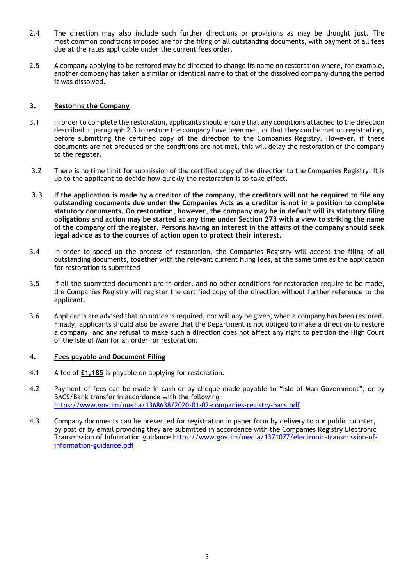- 2.4 The direction may also include such further directions or provisions as may be thought just. The most common conditions imposed are for the filing of all outstanding documents, with payment of all fees due at the rates applicable under the current fees order.
- 2.5 A company applying to be restored may be directed to change its name on restoration where, for example, another company has taken a similar or identical name to that of the dissolved company during the period it was dissolved.

#### **3. Restoring the Company**

- 3.1 In order to complete the restoration, applicants should ensure that any conditions attached to the direction described in paragraph 2.3 to restore the company have been met, or that they can be met on registration, before submitting the certified copy of the direction to the Companies Registry. However, if these documents are not produced or the conditions are not met, this will delay the restoration of the company to the register.
- 3.2 There is no time limit for submission of the certified copy of the direction to the Companies Registry. It is up to the applicant to decide how quickly the restoration is to take effect.
- **3.3 If the application is made by a creditor of the company, the creditors will not be required to file any outstanding documents due under the Companies Acts as a creditor is not in a position to complete statutory documents. On restoration, however, the company may be in default will its statutory filing obligations and action may be started at any time under Section 273 with a view to striking the name of the company off the register. Persons having an interest in the affairs of the company should seek legal advice as to the courses of action open to protect their interest.**
- 3.4 In order to speed up the process of restoration, the Companies Registry will accept the filing of all outstanding documents, together with the relevant current filing fees, at the same time as the application for restoration is submitted
- 3.5 If all the submitted documents are in order, and no other conditions for restoration require to be made, the Companies Registry will register the certified copy of the direction without further reference to the applicant.
- 3.6 Applicants are advised that no notice is required, nor will any be given, when a company has been restored. Finally, applicants should also be aware that the Department is not obliged to make a direction to restore a company, and any refusal to make such a direction does not affect any right to petition the High Court of the Isle of Man for an order for restoration.

#### **4. Fees payable and Document Filing**

- 4.1 A fee of **£1,185** is payable on applying for restoration.
- 4.2 Payment of fees can be made in cash or by cheque made payable to "Isle of Man Government", or by BACS/Bank transfer in accordance with the following <https://www.gov.im/media/1368638/2020-01-02-companies-registry-bacs.pdf>
- 4.3 Company documents can be presented for registration in paper form by delivery to our public counter, by post or by email providing they are submitted in accordance with the Companies Registry Electronic Transmission of Information guidance [https://www.gov.im/media/1371077/electronic-transmission-of](https://www.gov.im/media/1371077/electronic-transmission-of-information-guidance.pdf)[information-guidance.pdf](https://www.gov.im/media/1371077/electronic-transmission-of-information-guidance.pdf)